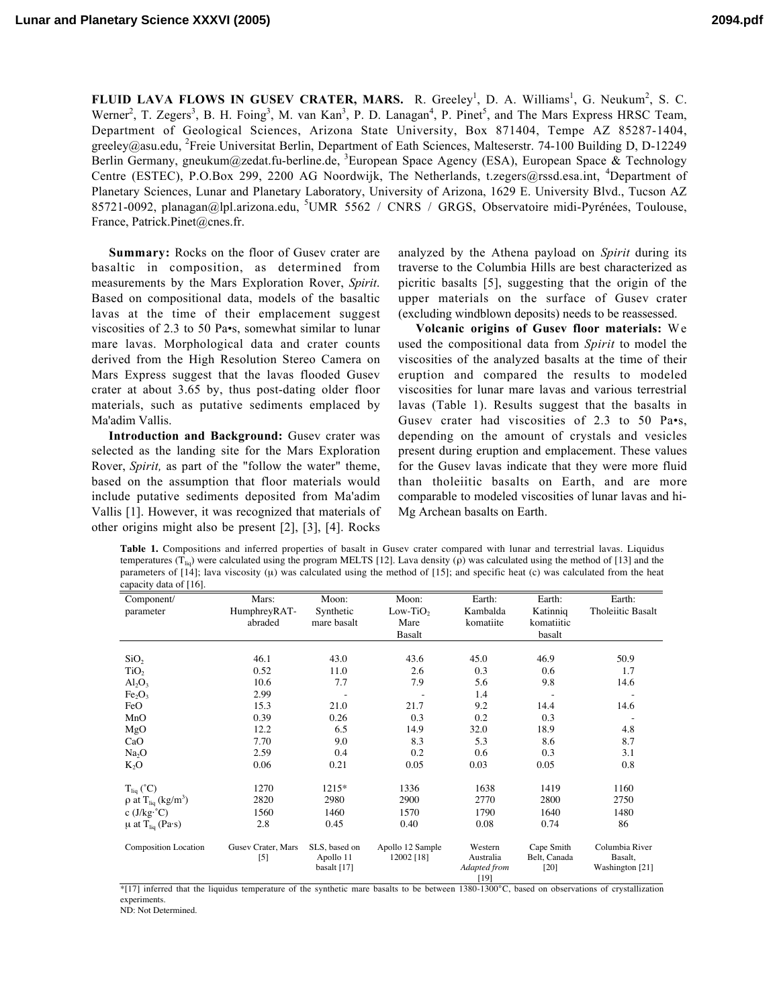FLUID LAVA FLOWS IN GUSEV CRATER, MARS. R. Greeley<sup>1</sup>, D. A. Williams<sup>1</sup>, G. Neukum<sup>2</sup>, S. C. Werner<sup>2</sup>, T. Zegers<sup>3</sup>, B. H. Foing<sup>3</sup>, M. van Kan<sup>3</sup>, P. D. Lanagan<sup>4</sup>, P. Pinet<sup>5</sup>, and The Mars Express HRSC Team, Department of Geological Sciences, Arizona State University, Box 871404, Tempe AZ 85287-1404, greeley@asu.edu, <sup>2</sup>Freie Universitat Berlin, Department of Eath Sciences, Malteserstr. 74-100 Building D, D-12249 Berlin Germany, gneukum@zedat.fu-berline.de, <sup>3</sup>European Space Agency (ESA), European Space & Technology Centre (ESTEC), P.O.Box 299, 2200 AG Noordwijk, The Netherlands, t.zegers@rssd.esa.int, <sup>4</sup>Department of Planetary Sciences, Lunar and Planetary Laboratory, University of Arizona, 1629 E. University Blvd., Tucson AZ 85721-0092, planagan@lpl.arizona.edu, <sup>5</sup>UMR 5562 / CNRS / GRGS, Observatoire midi-Pyrénées, Toulouse, France, Patrick.Pinet@cnes.fr.

Summary: Rocks on the floor of Gusev crater are basaltic in composition, as determined from measurements by the Mars Exploration Rover, *Spirit*. Based on compositional data, models of the basaltic lavas at the time of their emplacement suggest viscosities of 2.3 to 50 Pa•s, somewhat similar to lunar mare lavas. Morphological data and crater counts derived from the High Resolution Stereo Camera on Mars Express suggest that the lavas flooded Gusev crater at about 3.65 by, thus post-dating older floor materials, such as putative sediments emplaced by Ma'adim Vallis.

Introduction and Background: Gusev crater was selected as the landing site for the Mars Exploration Rover, *Spirit,* as part of the "follow the water" theme, based on the assumption that floor materials would include putative sediments deposited from Ma'adim Vallis [1]. However, it was recognized that materials of other origins might also be present [2], [3], [4]. Rocks

analyzed by the Athena payload on *Spirit* during its traverse to the Columbia Hills are best characterized as picritic basalts [5], suggesting that the origin of the upper materials on the surface of Gusev crater (excluding windblown deposits) needs to be reassessed.

Volcanic origins of Gusev floor materials: W e used the compositional data from *Spirit* to model the viscosities of the analyzed basalts at the time of their eruption and compared the results to modeled viscosities for lunar mare lavas and various terrestrial lavas (Table 1). Results suggest that the basalts in Gusev crater had viscosities of 2.3 to 50 Pa•s, depending on the amount of crystals and vesicles present during eruption and emplacement. These values for the Gusev lavas indicate that they were more fluid than tholeiitic basalts on Earth, and are more comparable to modeled viscosities of lunar lavas and hi-Mg Archean basalts on Earth.

**Table 1.** Compositions and inferred properties of basalt in Gusev crater compared with lunar and terrestrial lavas. Liquidus temperatures (T<sub>lia</sub>) were calculated using the program MELTS [12]. Lava density (ρ) was calculated using the method of [13] and the parameters of  $[14]$ ; lava viscosity  $(\mu)$  was calculated using the method of  $[15]$ ; and specific heat  $(\text{c})$  was calculated from the heat capacity data of [16].

| Component/                                      | Mars:              | Moon:         | Moon:                | Earth:                 | Earth:       | Earth:            |
|-------------------------------------------------|--------------------|---------------|----------------------|------------------------|--------------|-------------------|
| parameter                                       | HumphreyRAT-       | Synthetic     | Low-TiO <sub>2</sub> | Kambalda               | Katinniq     | Tholeiitic Basalt |
|                                                 | abraded            | mare basalt   | Mare                 | komatiite              | komatiitic   |                   |
|                                                 |                    |               | Basalt               |                        | basalt       |                   |
|                                                 |                    |               |                      |                        |              |                   |
| SiO <sub>2</sub>                                | 46.1               | 43.0          | 43.6                 | 45.0                   | 46.9         | 50.9              |
| TiO <sub>2</sub>                                | 0.52               | 11.0          | 2.6                  | 0.3                    | 0.6          | 1.7               |
| $Al_2O_3$                                       | 10.6               | 7.7           | 7.9                  | 5.6                    | 9.8          | 14.6              |
| Fe <sub>2</sub> O <sub>3</sub>                  | 2.99               |               |                      | 1.4                    |              |                   |
| FeO                                             | 15.3               | 21.0          | 21.7                 | 9.2                    | 14.4         | 14.6              |
| MnO                                             | 0.39               | 0.26          | 0.3                  | 0.2                    | 0.3          |                   |
| MgO                                             | 12.2               | 6.5           | 14.9                 | 32.0                   | 18.9         | 4.8               |
| CaO                                             | 7.70               | 9.0           | 8.3                  | 5.3                    | 8.6          | 8.7               |
| Na <sub>2</sub> O                               | 2.59               | 0.4           | 0.2                  | 0.6                    | 0.3          | 3.1               |
| $K_2O$                                          | 0.06               | 0.21          | 0.05                 | 0.03                   | 0.05         | 0.8               |
| $T_{liq}$ (°C)                                  | 1270               | 1215*         | 1336                 | 1638                   | 1419         | 1160              |
| $\rho$ at T <sub>liq</sub> (kg/m <sup>3</sup> ) | 2820               | 2980          | 2900                 | 2770                   | 2800         | 2750              |
| c $(J/kg \cdot ^{\circ}C)$                      | 1560               | 1460          | 1570                 | 1790                   | 1640         | 1480              |
| $\mu$ at T <sub>liq</sub> (Pa·s)                | 2.8                | 0.45          | 0.40                 | 0.08                   | 0.74         | 86                |
| <b>Composition Location</b>                     | Gusev Crater, Mars | SLS, based on | Apollo 12 Sample     | Western                | Cape Smith   | Columbia River    |
|                                                 | $[5]$              | Apollo 11     | 12002 [18]           | Australia              | Belt, Canada | Basalt,           |
|                                                 |                    | basalt [17]   |                      | Adapted from<br>$[19]$ | $[20]$       | Washington [21]   |

\*[17] inferred that the liquidus temperature of the synthetic mare basalts to be between 1380-1300°C, based on observations of crystallization experiments.

ND: Not Determined.